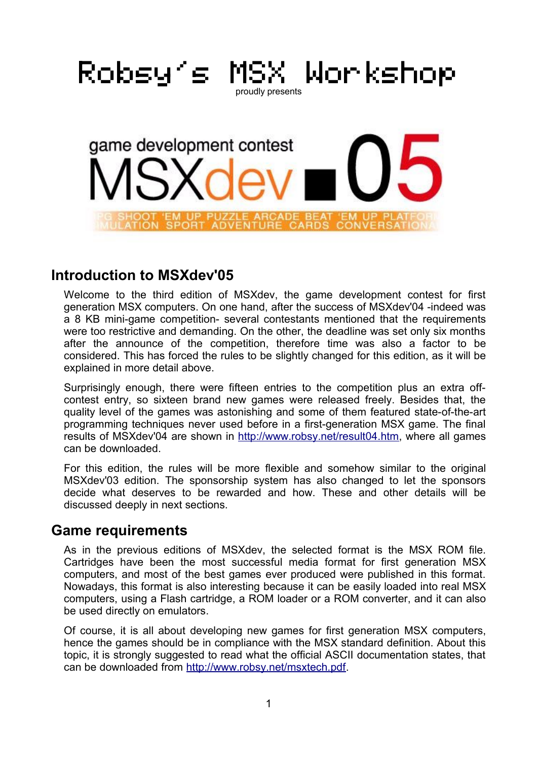

### **Introduction to MSXdev'05**

Welcome to the third edition of MSXdev, the game development contest for first generation MSX computers. On one hand, after the success of MSXdev'04 -indeed was a 8 KB mini-game competition- several contestants mentioned that the requirements were too restrictive and demanding. On the other, the deadline was set only six months after the announce of the competition, therefore time was also a factor to be considered. This has forced the rules to be slightly changed for this edition, as it will be explained in more detail above.

Surprisingly enough, there were fifteen entries to the competition plus an extra offcontest entry, so sixteen brand new games were released freely. Besides that, the quality level of the games was astonishing and some of them featured state-of-the-art programming techniques never used before in a first-generation MSX game. The final results of MSXdev'04 are shown in http://www.robsy.net/result04.htm, where all games can be downloaded.

For this edition, the rules will be more flexible and somehow similar to the original MSXdev'03 edition. The sponsorship system has also changed to let the sponsors decide what deserves to be rewarded and how. These and other details will be discussed deeply in next sections.

#### **Game requirements**

As in the previous editions of MSXdev, the selected format is the MSX ROM file. Cartridges have been the most successful media format for first generation MSX computers, and most of the best games ever produced were published in this format. Nowadays, this format is also interesting because it can be easily loaded into real MSX computers, using a Flash cartridge, a ROM loader or a ROM converter, and it can also be used directly on emulators.

Of course, it is all about developing new games for first generation MSX computers, hence the games should be in compliance with the MSX standard definition. About this topic, it is strongly suggested to read what the official ASCII documentation states, that can be downloaded from http://www.robsy.net/msxtech.pdf.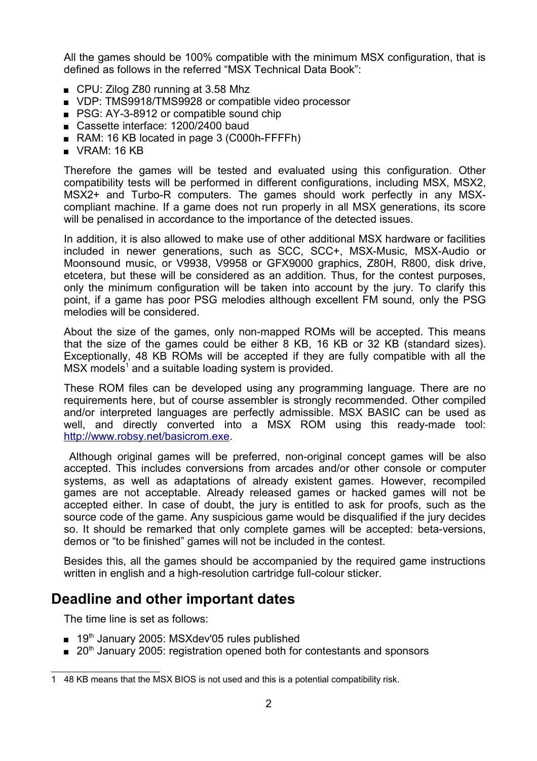All the games should be 100% compatible with the minimum MSX configuration, that is defined as follows in the referred "MSX Technical Data Book":

- CPU: Zilog Z80 running at 3.58 Mhz
- VDP: TMS9918/TMS9928 or compatible video processor
- PSG: AY-3-8912 or compatible sound chip
- Cassette interface: 1200/2400 baud
- RAM: 16 KB located in page 3 (C000h-FFFFh)
- $\blacksquare$  VRAM: 16 KB

Therefore the games will be tested and evaluated using this configuration. Other compatibility tests will be performed in different configurations, including MSX, MSX2, MSX2+ and Turbo-R computers. The games should work perfectly in any MSXcompliant machine. If a game does not run properly in all MSX generations, its score will be penalised in accordance to the importance of the detected issues.

In addition, it is also allowed to make use of other additional MSX hardware or facilities included in newer generations, such as SCC, SCC+, MSX-Music, MSX-Audio or Moonsound music, or V9938, V9958 or GFX9000 graphics, Z80H, R800, disk drive, etcetera, but these will be considered as an addition. Thus, for the contest purposes, only the minimum configuration will be taken into account by the jury. To clarify this point, if a game has poor PSG melodies although excellent FM sound, only the PSG melodies will be considered.

About the size of the games, only non-mapped ROMs will be accepted. This means that the size of the games could be either 8 KB, 16 KB or 32 KB (standard sizes). Exceptionally, 48 KB ROMs will be accepted if they are fully compatible with all the MSX models<sup>1</sup> and a suitable loading system is provided.

These ROM files can be developed using any programming language. There are no requirements here, but of course assembler is strongly recommended. Other compiled and/or interpreted languages are perfectly admissible. MSX BASIC can be used as well, and directly converted into a MSX ROM using this ready-made tool: http://www.robsy.net/basicrom.exe.

Although original games will be preferred, non-original concept games will be also accepted. This includes conversions from arcades and/or other console or computer systems, as well as adaptations of already existent games. However, recompiled games are not acceptable. Already released games or hacked games will not be accepted either. In case of doubt, the jury is entitled to ask for proofs, such as the source code of the game. Any suspicious game would be disqualified if the jury decides so. It should be remarked that only complete games will be accepted: beta-versions, demos or "to be finished" games will not be included in the contest.

Besides this, all the games should be accompanied by the required game instructions written in english and a high-resolution cartridge full-colour sticker.

## **Deadline and other important dates**

The time line is set as follows:

- 19<sup>th</sup> January 2005: MSXdev'05 rules published
- 20<sup>th</sup> January 2005: registration opened both for contestants and sponsors

<sup>1</sup> 48 KB means that the MSX BIOS is not used and this is a potential compatibility risk.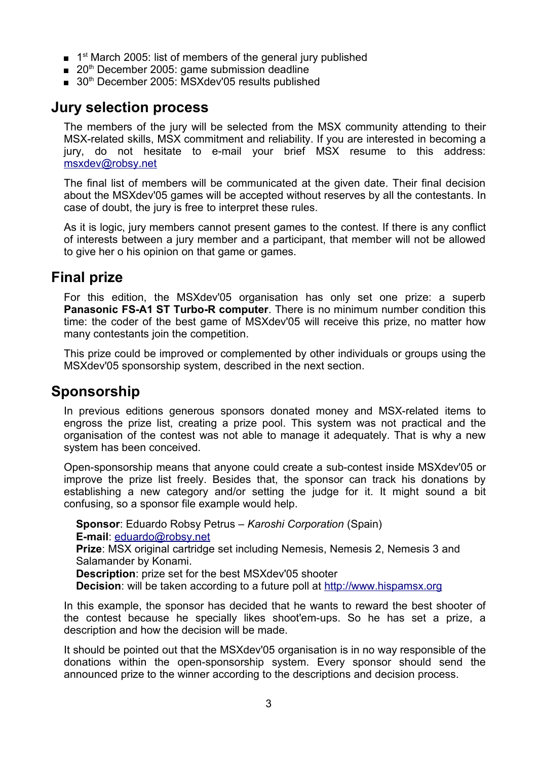- 1<sup>st</sup> March 2005: list of members of the general jury published
- $\Box$  20<sup>th</sup> December 2005: game submission deadline
- 30<sup>th</sup> December 2005: MSXdev'05 results published

### **Jury selection process**

The members of the jury will be selected from the MSX community attending to their MSX-related skills, MSX commitment and reliability. If you are interested in becoming a jury, do not hesitate to e-mail your brief MSX resume to this address: msxdev@robsy.net

The final list of members will be communicated at the given date. Their final decision about the MSXdev'05 games will be accepted without reserves by all the contestants. In case of doubt, the jury is free to interpret these rules.

As it is logic, jury members cannot present games to the contest. If there is any conflict of interests between a jury member and a participant, that member will not be allowed to give her o his opinion on that game or games.

#### **Final prize**

For this edition, the MSXdev'05 organisation has only set one prize: a superb **Panasonic FS-A1 ST Turbo-R computer**. There is no minimum number condition this time: the coder of the best game of MSXdev'05 will receive this prize, no matter how many contestants join the competition.

This prize could be improved or complemented by other individuals or groups using the MSXdev'05 sponsorship system, described in the next section.

### **Sponsorship**

In previous editions generous sponsors donated money and MSX-related items to engross the prize list, creating a prize pool. This system was not practical and the organisation of the contest was not able to manage it adequately. That is why a new system has been conceived.

Open-sponsorship means that anyone could create a sub-contest inside MSXdev'05 or improve the prize list freely. Besides that, the sponsor can track his donations by establishing a new category and/or setting the judge for it. It might sound a bit confusing, so a sponsor file example would help.

**Sponsor**: Eduardo Robsy Petrus – *Karoshi Corporation* (Spain) **E-mail**: eduardo@robsy.net **Prize**: MSX original cartridge set including Nemesis, Nemesis 2, Nemesis 3 and Salamander by Konami. **Description**: prize set for the best MSXdev'05 shooter **Decision**: will be taken according to a future poll at http://www.hispamsx.org

In this example, the sponsor has decided that he wants to reward the best shooter of the contest because he specially likes shoot'em-ups. So he has set a prize, a description and how the decision will be made.

It should be pointed out that the MSXdev'05 organisation is in no way responsible of the donations within the open-sponsorship system. Every sponsor should send the announced prize to the winner according to the descriptions and decision process.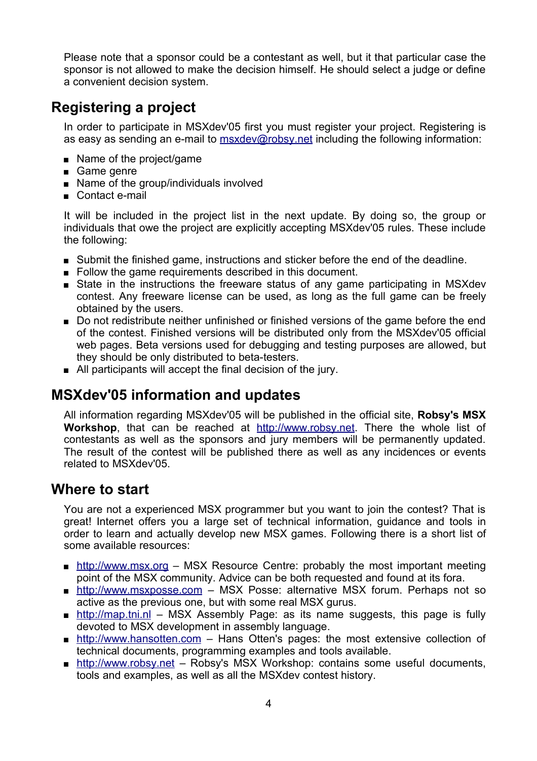Please note that a sponsor could be a contestant as well, but it that particular case the sponsor is not allowed to make the decision himself. He should select a judge or define a convenient decision system.

## **Registering a project**

In order to participate in MSXdev'05 first you must register your project. Registering is as easy as sending an e-mail to msxdev@robsy.net including the following information:

- Name of the project/game
- Game genre
- Name of the group/individuals involved
- Contact e-mail

It will be included in the project list in the next update. By doing so, the group or individuals that owe the project are explicitly accepting MSXdev'05 rules. These include the following:

- Submit the finished game, instructions and sticker before the end of the deadline.
- Follow the game requirements described in this document.
- **State in the instructions the freeware status of any game participating in MSXdev** contest. Any freeware license can be used, as long as the full game can be freely obtained by the users.
- Do not redistribute neither unfinished or finished versions of the game before the end of the contest. Finished versions will be distributed only from the MSXdev'05 official web pages. Beta versions used for debugging and testing purposes are allowed, but they should be only distributed to beta-testers.
- All participants will accept the final decision of the jury.

### **MSXdev'05 information and updates**

All information regarding MSXdev'05 will be published in the official site, **Robsy's MSX Workshop**, that can be reached at http://www.robsy.net. There the whole list of contestants as well as the sponsors and jury members will be permanently updated. The result of the contest will be published there as well as any incidences or events related to MSXdev'05.

#### **Where to start**

You are not a experienced MSX programmer but you want to join the contest? That is great! Internet offers you a large set of technical information, guidance and tools in order to learn and actually develop new MSX games. Following there is a short list of some available resources:

- **http://www.msx.org MSX Resource Centre: probably the most important meeting** point of the MSX community. Advice can be both requested and found at its fora.
- http://www.msxposse.com MSX Posse: alternative MSX forum. Perhaps not so active as the previous one, but with some real MSX gurus.
- **http://map.tni.nl** MSX Assembly Page: as its name suggests, this page is fully devoted to MSX development in assembly language.
- **http://www.hansotten.com** Hans Otten's pages: the most extensive collection of technical documents, programming examples and tools available.
- http://www.robsy.net Robsy's MSX Workshop: contains some useful documents, tools and examples, as well as all the MSXdev contest history.